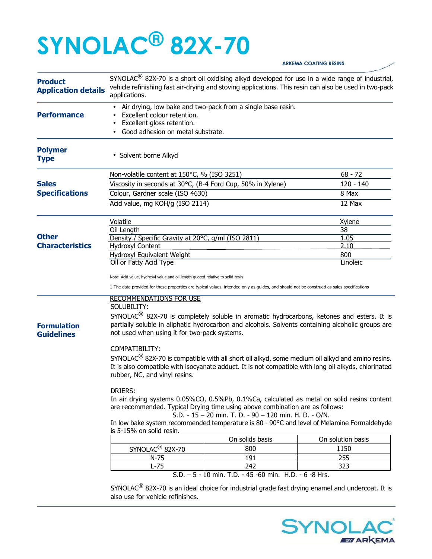## **SYNOLAC® 82X-70**

## **Product Application details**  $SYNOLAC<sup>®</sup>$  82X-70 is a short oil oxidising alkyd developed for use in a wide range of industrial, vehicle refinishing fast air-drying and stoving applications. This resin can also be used in two-pack applications. Air drying, low bake and two-pack from a single base resin. **Performance** • Excellent colour retention. • Excellent gloss retention. • Good adhesion on metal substrate. **Polymer**  • Solvent borne Alkyd **Type** Non-volatile content at 150°C, % (ISO 3251) 68 - 72 **Sales** Viscosity in seconds at 30°C, (B-4 Ford Cup, 50% in Xylene) 120 - 140 **Specifications Colour, Gardner scale (ISO 4630)** 8 Max Acid value, mg KOH/g (ISO 2114) 12 Max Volatile Xylene and the Sylene Sylene and the Sylene Sylene and the Sylene Sylene Sylene Sylene Sylene and the **Other Characteristics** Oil Length 38 Density / Specific Gravity at 20°C, g/ml (ISO 2811) 1.05 Hydroxyl Content 2.10 Hydroxyl Equivalent Weight 800 *Dil or Fatty Acid Type* Linoleic Linoleic Linoleic Linoleic Linoleic Linoleic Linoleic Linoleic Linoleic Linoleic Note: Acid value, hydroxyl value and oil length quoted relative to solid resin 1 The data provided for these properties are typical values, intended only as guides, and should not be construed as sales specifications **Formulation Guidelines**  RECOMMENDATIONS FOR USE SOLUBILITY:  $SYNOLAC<sup>(8)</sup>$  82X-70 is completely soluble in aromatic hydrocarbons, ketones and esters. It is partially soluble in aliphatic hydrocarbon and alcohols. Solvents containing alcoholic groups are not used when using it for two-pack systems. COMPATIBILITY: SYNOLAC $<sup>®</sup>$  82X-70 is compatible with all short oil alkyd, some medium oil alkyd and amino resins.</sup> It is also compatible with isocyanate adduct. It is not compatible with long oil alkyds, chlorinated rubber, NC, and vinyl resins. DRIERS: In air drying systems 0.05%CO, 0.5%Pb, 0.1%Ca, calculated as metal on solid resins content are recommended. Typical Drying time using above combination are as follows: S.D. - 15 – 20 min. T. D. - 90 – 120 min. H. D. - O/N. In low bake system recommended temperature is 80 - 90°C and level of Melamine Formaldehyde is 5-15% on solid resin. On solids basis On solution basis  $SYNOLAC<sup>®</sup>$  82X-70  $|$  800  $|$  1150 N-75 191 255 L-75 242 323 S.D. – 5 - 10 min. T.D. - 45 -60 min. H.D. - 6 -8 Hrs. SYNOLAC<sup>®</sup> 82X-70 is an ideal choice for industrial grade fast drying enamel and undercoat. It is

also use for vehicle refinishes.



**ARKEMA COATING RESINS**